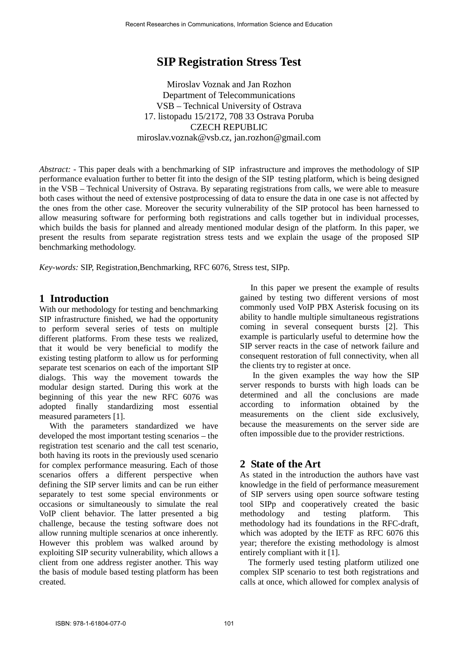# **SIP Registration Stress Test**

Miroslav Voznak and Jan Rozhon Department of Telecommunications VSB – Technical University of Ostrava 17. listopadu 15/2172, 708 33 Ostrava Poruba CZECH REPUBLIC miroslav.voznak@vsb.cz, jan.rozhon@gmail.com

*Abstract: -* This paper deals with a benchmarking of SIP infrastructure and improves the methodology of SIP performance evaluation further to better fit into the design of the SIP testing platform, which is being designed in the VSB – Technical University of Ostrava. By separating registrations from calls, we were able to measure both cases without the need of extensive postprocessing of data to ensure the data in one case is not affected by the ones from the other case. Moreover the security vulnerability of the SIP protocol has been harnessed to allow measuring software for performing both registrations and calls together but in individual processes, which builds the basis for planned and already mentioned modular design of the platform. In this paper, we present the results from separate registration stress tests and we explain the usage of the proposed SIP benchmarking methodology.

*Key-words:* SIP, Registration,Benchmarking, RFC 6076, Stress test, SIPp.

#### **1 Introduction**

With our methodology for testing and benchmarking SIP infrastructure finished, we had the opportunity to perform several series of tests on multiple different platforms. From these tests we realized, that it would be very beneficial to modify the existing testing platform to allow us for performing separate test scenarios on each of the important SIP dialogs. This way the movement towards the modular design started. During this work at the beginning of this year the new RFC 6076 was adopted finally standardizing most essential measured parameters [1].

 With the parameters standardized we have developed the most important testing scenarios – the registration test scenario and the call test scenario, both having its roots in the previously used scenario for complex performance measuring. Each of those scenarios offers a different perspective when defining the SIP server limits and can be run either separately to test some special environments or occasions or simultaneously to simulate the real VoIP client behavior. The latter presented a big challenge, because the testing software does not allow running multiple scenarios at once inherently. However this problem was walked around by exploiting SIP security vulnerability, which allows a client from one address register another. This way the basis of module based testing platform has been created.

 In this paper we present the example of results gained by testing two different versions of most commonly used VoIP PBX Asterisk focusing on its ability to handle multiple simultaneous registrations coming in several consequent bursts [2]. This example is particularly useful to determine how the SIP server reacts in the case of network failure and consequent restoration of full connectivity, when all the clients try to register at once.

 In the given examples the way how the SIP server responds to bursts with high loads can be determined and all the conclusions are made according to information obtained by the measurements on the client side exclusively, because the measurements on the server side are often impossible due to the provider restrictions.

#### **2 State of the Art**

As stated in the introduction the authors have vast knowledge in the field of performance measurement of SIP servers using open source software testing tool SIPp and cooperatively created the basic methodology and testing platform. This methodology had its foundations in the RFC-draft, which was adopted by the IETF as RFC 6076 this year; therefore the existing methodology is almost entirely compliant with it [1].

 The formerly used testing platform utilized one complex SIP scenario to test both registrations and calls at once, which allowed for complex analysis of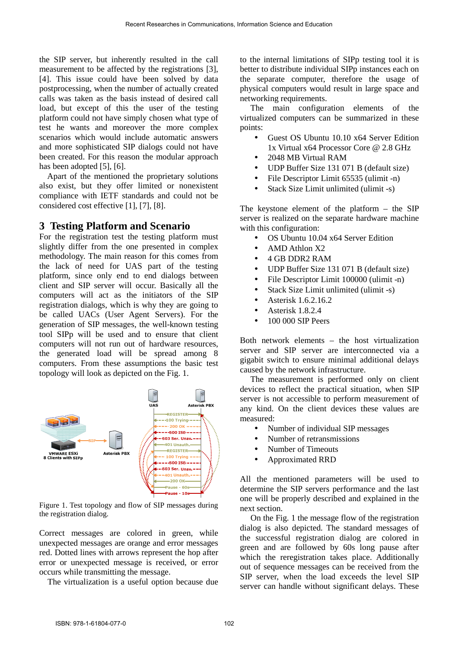the SIP server, but inherently resulted in the call measurement to be affected by the registrations [3], [4]. This issue could have been solved by data postprocessing, when the number of actually created calls was taken as the basis instead of desired call load, but except of this the user of the testing platform could not have simply chosen what type of test he wants and moreover the more complex scenarios which would include automatic answers and more sophisticated SIP dialogs could not have been created. For this reason the modular approach has been adopted [5], [6].

 Apart of the mentioned the proprietary solutions also exist, but they offer limited or nonexistent compliance with IETF standards and could not be considered cost effective [1], [7], [8].

## **3 Testing Platform and Scenario**

For the registration test the testing platform must slightly differ from the one presented in complex methodology. The main reason for this comes from the lack of need for UAS part of the testing platform, since only end to end dialogs between client and SIP server will occur. Basically all the computers will act as the initiators of the SIP registration dialogs, which is why they are going to be called UACs (User Agent Servers). For the generation of SIP messages, the well-known testing tool SIPp will be used and to ensure that client computers will not run out of hardware resources, the generated load will be spread among 8 computers. From these assumptions the basic test topology will look as depicted on the Fig. 1.



Figure 1. Test topology and flow of SIP messages during the registration dialog.

Correct messages are colored in green, while unexpected messages are orange and error messages red. Dotted lines with arrows represent the hop after error or unexpected message is received, or error occurs while transmitting the message.

The virtualization is a useful option because due

to the internal limitations of SIPp testing tool it is better to distribute individual SIPp instances each on the separate computer, therefore the usage of physical computers would result in large space and networking requirements.

 The main configuration elements of the virtualized computers can be summarized in these points:

- Guest OS Ubuntu 10.10 x64 Server Edition 1x Virtual x64 Processor Core @ 2.8 GHz
- 2048 MB Virtual RAM
- UDP Buffer Size 131 071 B (default size)
- File Descriptor Limit 65535 (ulimit -n)
- Stack Size Limit unlimited (ulimit -s)

The keystone element of the platform – the SIP server is realized on the separate hardware machine with this configuration:

- OS Ubuntu 10.04 x64 Server Edition
- AMD Athlon X2
- 4 GB DDR2 RAM
- UDP Buffer Size 131 071 B (default size)
- File Descriptor Limit 100000 (ulimit -n)
- Stack Size Limit unlimited (ulimit -s)
- Asterisk 1.6.2.16.2
- Asterisk 1.8.2.4
- 100 000 SIP Peers

Both network elements – the host virtualization server and SIP server are interconnected via a gigabit switch to ensure minimal additional delays caused by the network infrastructure.

 The measurement is performed only on client devices to reflect the practical situation, when SIP server is not accessible to perform measurement of any kind. On the client devices these values are measured:

- Number of individual SIP messages
- Number of retransmissions
- Number of Timeouts
- Approximated RRD

All the mentioned parameters will be used to determine the SIP servers performance and the last one will be properly described and explained in the next section.

 On the Fig. 1 the message flow of the registration dialog is also depicted. The standard messages of the successful registration dialog are colored in green and are followed by 60s long pause after which the reregistration takes place. Additionally out of sequence messages can be received from the SIP server, when the load exceeds the level SIP server can handle without significant delays. These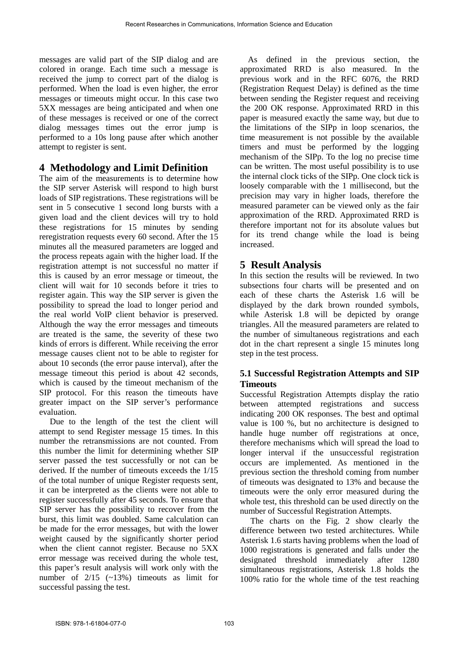messages are valid part of the SIP dialog and are colored in orange. Each time such a message is received the jump to correct part of the dialog is performed. When the load is even higher, the error messages or timeouts might occur. In this case two 5XX messages are being anticipated and when one of these messages is received or one of the correct dialog messages times out the error jump is performed to a 10s long pause after which another attempt to register is sent.

## **4 Methodology and Limit Definition**

The aim of the measurements is to determine how the SIP server Asterisk will respond to high burst loads of SIP registrations. These registrations will be sent in 5 consecutive 1 second long bursts with a given load and the client devices will try to hold these registrations for 15 minutes by sending reregistration requests every 60 second. After the 15 minutes all the measured parameters are logged and the process repeats again with the higher load. If the registration attempt is not successful no matter if this is caused by an error message or timeout, the client will wait for 10 seconds before it tries to register again. This way the SIP server is given the possibility to spread the load to longer period and the real world VoIP client behavior is preserved. Although the way the error messages and timeouts are treated is the same, the severity of these two kinds of errors is different. While receiving the error message causes client not to be able to register for about 10 seconds (the error pause interval), after the message timeout this period is about 42 seconds, which is caused by the timeout mechanism of the SIP protocol. For this reason the timeouts have greater impact on the SIP server's performance evaluation.

 Due to the length of the test the client will attempt to send Register message 15 times. In this number the retransmissions are not counted. From this number the limit for determining whether SIP server passed the test successfully or not can be derived. If the number of timeouts exceeds the 1/15 of the total number of unique Register requests sent, it can be interpreted as the clients were not able to register successfully after 45 seconds. To ensure that SIP server has the possibility to recover from the burst, this limit was doubled. Same calculation can be made for the error messages, but with the lower weight caused by the significantly shorter period when the client cannot register. Because no 5XX error message was received during the whole test, this paper's result analysis will work only with the number of 2/15 (~13%) timeouts as limit for successful passing the test.

 As defined in the previous section, the approximated RRD is also measured. In the previous work and in the RFC 6076, the RRD (Registration Request Delay) is defined as the time between sending the Register request and receiving the 200 OK response. Approximated RRD in this paper is measured exactly the same way, but due to the limitations of the SIPp in loop scenarios, the time measurement is not possible by the available timers and must be performed by the logging mechanism of the SIPp. To the log no precise time can be written. The most useful possibility is to use the internal clock ticks of the SIPp. One clock tick is loosely comparable with the 1 millisecond, but the precision may vary in higher loads, therefore the measured parameter can be viewed only as the fair approximation of the RRD. Approximated RRD is therefore important not for its absolute values but for its trend change while the load is being increased.

## **5 Result Analysis**

In this section the results will be reviewed. In two subsections four charts will be presented and on each of these charts the Asterisk 1.6 will be displayed by the dark brown rounded symbols, while Asterisk 1.8 will be depicted by orange triangles. All the measured parameters are related to the number of simultaneous registrations and each dot in the chart represent a single 15 minutes long step in the test process.

#### **5.1 Successful Registration Attempts and SIP Timeouts**

Successful Registration Attempts display the ratio between attempted registrations and success indicating 200 OK responses. The best and optimal value is 100 %, but no architecture is designed to handle huge number off registrations at once, therefore mechanisms which will spread the load to longer interval if the unsuccessful registration occurs are implemented. As mentioned in the previous section the threshold coming from number of timeouts was designated to 13% and because the timeouts were the only error measured during the whole test, this threshold can be used directly on the number of Successful Registration Attempts.

 The charts on the Fig. 2 show clearly the difference between two tested architectures. While Asterisk 1.6 starts having problems when the load of 1000 registrations is generated and falls under the designated threshold immediately after 1280 simultaneous registrations, Asterisk 1.8 holds the 100% ratio for the whole time of the test reaching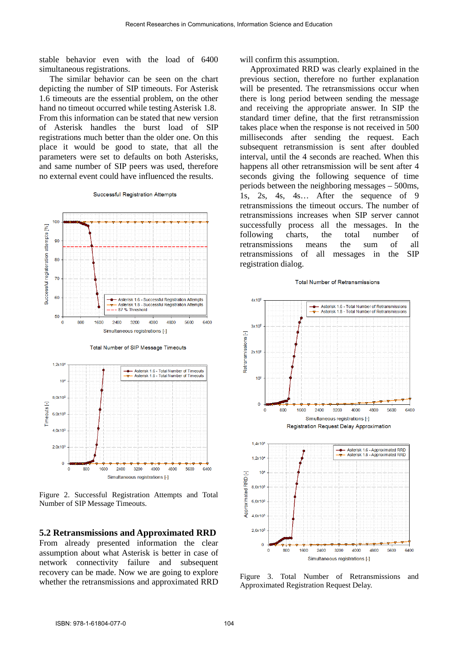stable behavior even with the load of 6400 simultaneous registrations.

 The similar behavior can be seen on the chart depicting the number of SIP timeouts. For Asterisk 1.6 timeouts are the essential problem, on the other hand no timeout occurred while testing Asterisk 1.8. From this information can be stated that new version of Asterisk handles the burst load of SIP registrations much better than the older one. On this place it would be good to state, that all the parameters were set to defaults on both Asterisks, and same number of SIP peers was used, therefore no external event could have influenced the results.

**Successful Registration Attempts** 







Figure 2. Successful Registration Attempts and Total Number of SIP Message Timeouts.

#### **5.2 Retransmissions and Approximated RRD**

From already presented information the clear assumption about what Asterisk is better in case of network connectivity failure and subsequent recovery can be made. Now we are going to explore whether the retransmissions and approximated RRD will confirm this assumption.

 Approximated RRD was clearly explained in the previous section, therefore no further explanation will be presented. The retransmissions occur when there is long period between sending the message and receiving the appropriate answer. In SIP the standard timer define, that the first retransmission takes place when the response is not received in 500 milliseconds after sending the request. Each subsequent retransmission is sent after doubled interval, until the 4 seconds are reached. When this happens all other retransmission will be sent after 4 seconds giving the following sequence of time periods between the neighboring messages – 500ms, 1s, 2s, 4s, 4s… After the sequence of 9 retransmissions the timeout occurs. The number of retransmissions increases when SIP server cannot successfully process all the messages. In the following charts, the total number of retransmissions means the sum of all retransmissions of all messages in the SIP registration dialog.

#### Total Number of Retransmissions



Figure 3. Total Number of Retransmissions and Approximated Registration Request Delay.

Simultaneous registrations [-]